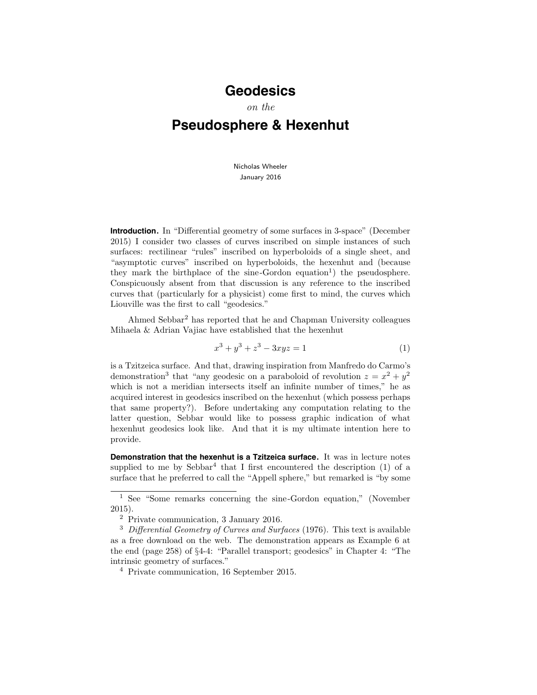## **Geodesics**

on the

## **Pseudosphere & Hexenhut**

Nicholas Wheeler January 2016

**Introduction.** In "Differential geometry of some surfaces in 3-space" (December 2015) I consider two classes of curves inscribed on simple instances of such surfaces: rectilinear "rules" inscribed on hyperboloids of a single sheet, and "asymptotic curves" inscribed on hyperboloids, the hexenhut and (because they mark the birthplace of the sine-Gordon equation<sup>1</sup>) the pseudosphere. Conspicuously absent from that discussion is any reference to the inscribed curves that (particularly for a physicist) come first to mind, the curves which Liouville was the first to call "geodesics."

Ahmed Sebbar<sup>2</sup> has reported that he and Chapman University colleagues Mihaela & Adrian Vajiac have established that the hexenhut

$$
x^3 + y^3 + z^3 - 3xyz = 1\tag{1}
$$

is a Tzitzeica surface. And that, drawing inspiration from Manfredo do Carmo's demonstration<sup>3</sup> that "any geodesic on a paraboloid of revolution  $z = x^2 + y^2$ which is not a meridian intersects itself an infinite number of times," he as acquired interest in geodesics inscribed on the hexenhut (which possess perhaps that same property?). Before undertaking any computation relating to the latter question, Sebbar would like to possess graphic indication of what hexenhut geodesics look like. And that it is my ultimate intention here to provide.

**Demonstration that the hexenhut is a Tzitzeica surface.** It was in lecture notes supplied to me by Sebbar<sup>4</sup> that I first encountered the description  $(1)$  of a surface that he preferred to call the "Appell sphere," but remarked is "by some

<sup>1</sup> See "Some remarks concerning the sine-Gordon equation," (November 2015).

<sup>2</sup> Private communication, 3 January 2016.

 $3$  Differential Geometry of Curves and Surfaces (1976). This text is available as a free download on the web. The demonstration appears as Example 6 at the end (page 258) of §4-4: "Parallel transport; geodesics" in Chapter 4: "The intrinsic geometry of surfaces."

<sup>4</sup> Private communication, 16 September 2015.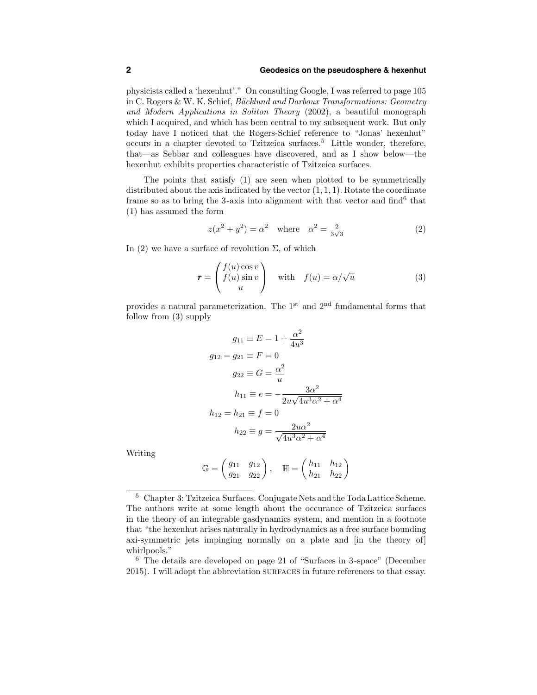## **2 Geodesics on the pseudosphere & hexenhut**

physicists called a 'hexenhut'." On consulting Google, I was referred to page 105 in C. Rogers & W. K. Schief, *Bäcklund and Darboux Transformations: Geometry* and Modern Applications in Soliton Theory (2002), a beautiful monograph which I acquired, and which has been central to my subsequent work. But only today have I noticed that the Rogers-Schief reference to "Jonas' hexenhut" occurs in a chapter devoted to Tzitzeica surfaces.<sup>5</sup> Little wonder, therefore, that—as Sebbar and colleagues have discovered, and as I show below—the hexenhut exhibits properties characteristic of Tzitzeica surfaces.

The points that satisfy (1) are seen when plotted to be symmetrically distributed about the axis indicated by the vector  $(1, 1, 1)$ . Rotate the coordinate frame so as to bring the 3-axis into alignment with that vector and find<sup>6</sup> that (1) has assumed the form

$$
z(x^2 + y^2) = \alpha^2 \quad \text{where} \quad \alpha^2 = \frac{2}{3\sqrt{3}} \tag{2}
$$

In (2) we have a surface of revolution  $\Sigma$ , of which

$$
\mathbf{r} = \begin{pmatrix} f(u)\cos v \\ f(u)\sin v \\ u \end{pmatrix} \quad \text{with} \quad f(u) = \alpha/\sqrt{u} \tag{3}
$$

provides a natural parameterization. The  $1^{\text{st}}$  and  $2^{\text{nd}}$  fundamental forms that follow from (3) supply

$$
g_{11} \equiv E = 1 + \frac{\alpha^2}{4u^3}
$$

$$
g_{12} = g_{21} \equiv F = 0
$$

$$
g_{22} \equiv G = \frac{\alpha^2}{u}
$$

$$
h_{11} \equiv e = -\frac{3\alpha^2}{2u\sqrt{4u^3\alpha^2 + \alpha^4}}
$$

$$
h_{12} = h_{21} \equiv f = 0
$$

$$
h_{22} \equiv g = \frac{2u\alpha^2}{\sqrt{4u^3\alpha^2 + \alpha^4}}
$$

Writing

$$
\mathbb{G} = \begin{pmatrix} g_{11} & g_{12} \\ g_{21} & g_{22} \end{pmatrix}, \quad \mathbb{H} = \begin{pmatrix} h_{11} & h_{12} \\ h_{21} & h_{22} \end{pmatrix}
$$

<sup>5</sup> Chapter 3: Tzitzeica Surfaces. Conjugate Nets and the Toda Lattice Scheme. The authors write at some length about the occurance of Tzitzeica surfaces in the theory of an integrable gasdynamics system, and mention in a footnote that "the hexenhut arises naturally in hydrodynamics as a free surface bounding axi-symmetric jets impinging normally on a plate and [in the theory of] whirlpools."

<sup>6</sup> The details are developed on page 21 of "Surfaces in 3-space" (December 2015). I will adopt the abbreviation surfaces in future references to that essay.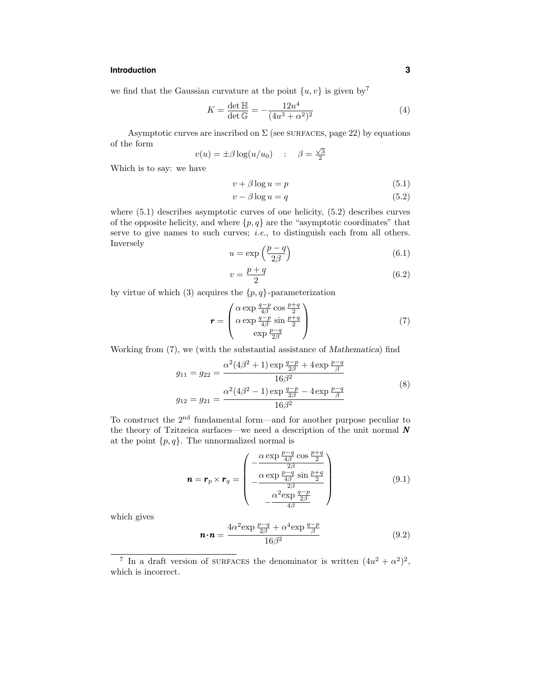## **Introduction 3**

we find that the Gaussian curvature at the point  $\{u, v\}$  is given by<sup>7</sup>

$$
K = \frac{\det \mathbb{H}}{\det \mathbb{G}} = -\frac{12u^4}{(4u^3 + \alpha^2)^2}
$$
(4)

Asymptotic curves are inscribed on  $\Sigma$  (see SURFACES, page 22) by equations of the form

$$
v(u) = \pm \beta \log(u/u_0) \quad : \quad \beta = \frac{\sqrt{3}}{2}
$$

Which is to say: we have

$$
v + \beta \log u = p \tag{5.1}
$$

$$
v - \beta \log u = q \tag{5.2}
$$

where  $(5.1)$  describes asymptotic curves of one helicity,  $(5.2)$  describes curves of the opposite helicity, and where  $\{p, q\}$  are the "asymptotic coordinates" that serve to give names to such curves; *i.e.*, to distinguish each from all others. Inversely

$$
u = \exp\left(\frac{p-q}{2\beta}\right) \tag{6.1}
$$

$$
v = \frac{p+q}{2} \tag{6.2}
$$

by virtue of which (3) acquires the  $\{p, q\}$ -parameterization

$$
\mathbf{r} = \begin{pmatrix} \alpha \exp \frac{q-p}{4\beta} \cos \frac{p+q}{2} \\ \alpha \exp \frac{q-p}{4\beta} \sin \frac{p+q}{2} \\ \exp \frac{p-q}{2\beta} \end{pmatrix}
$$
(7)

Working from (7), we (with the substantial assistance of Mathematica) find

$$
g_{11} = g_{22} = \frac{\alpha^2 (4\beta^2 + 1) \exp{\frac{q-p}{2\beta} + 4 \exp{\frac{p-q}{\beta}}}}{16\beta^2}
$$
  

$$
g_{12} = g_{21} = \frac{\alpha^2 (4\beta^2 - 1) \exp{\frac{q-p}{2\beta} - 4 \exp{\frac{p-q}{\beta}}}}{16\beta^2}
$$
(8)

To construct the 2nd fundamental form—and for another purpose peculiar to the theory of Tzitzeica surfaces—we need a description of the unit normal  $N$ at the point  $\{p, q\}$ . The unnormalized normal is

$$
\mathbf{n} = \mathbf{r}_p \times \mathbf{r}_q = \begin{pmatrix} -\frac{\alpha \exp \frac{p-q}{4\beta} \cos \frac{p+q}{2}}{2\beta} \\ -\frac{\alpha \exp \frac{p-q}{4\beta} \sin \frac{p+q}{2}}{2\beta} \\ -\frac{\alpha^2 \exp \frac{q-p}{2\beta}}{4\beta} \end{pmatrix}
$$
(9.1)

which gives

$$
\mathbf{n} \cdot \mathbf{n} = \frac{4\alpha^2 \exp \frac{p-q}{2\beta} + \alpha^4 \exp \frac{q-p}{\beta}}{16\beta^2}
$$
(9.2)

<sup>&</sup>lt;sup>7</sup> In a draft version of surfaces the denominator is written  $(4u^2 + \alpha^2)^2$ , which is incorrect.